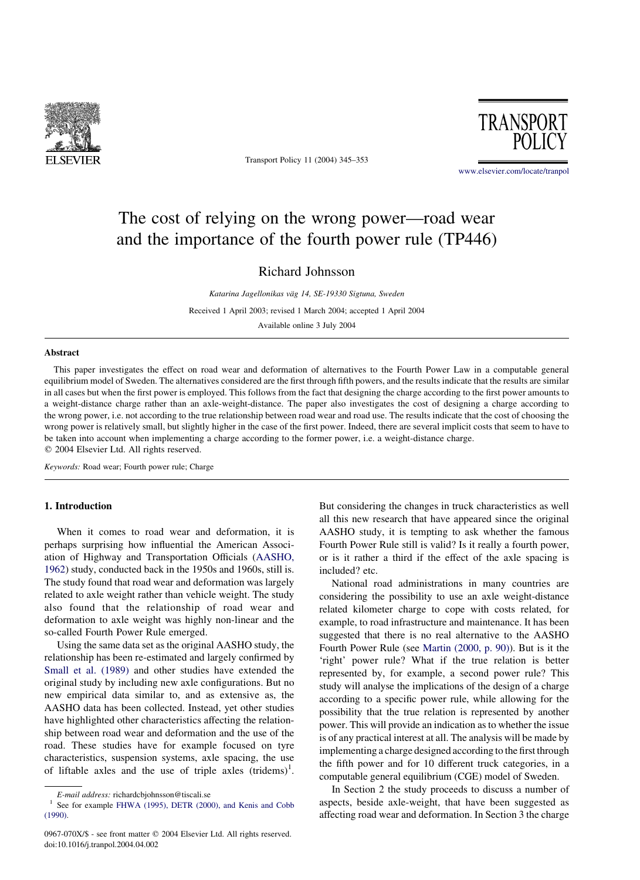

Transport Policy 11 (2004) 345–353



[www.elsevier.com/locate/tranpol](http://www.elsevier.com/locate/tranpol)

# The cost of relying on the wrong power—road wear and the importance of the fourth power rule (TP446)

# Richard Johnsson

Katarina Jagellonikas väg 14, SE-19330 Sigtuna, Sweden Received 1 April 2003; revised 1 March 2004; accepted 1 April 2004 Available online 3 July 2004

# Abstract

This paper investigates the effect on road wear and deformation of alternatives to the Fourth Power Law in a computable general equilibrium model of Sweden. The alternatives considered are the first through fifth powers, and the results indicate that the results are similar in all cases but when the first power is employed. This follows from the fact that designing the charge according to the first power amounts to a weight-distance charge rather than an axle-weight-distance. The paper also investigates the cost of designing a charge according to the wrong power, i.e. not according to the true relationship between road wear and road use. The results indicate that the cost of choosing the wrong power is relatively small, but slightly higher in the case of the first power. Indeed, there are several implicit costs that seem to have to be taken into account when implementing a charge according to the former power, i.e. a weight-distance charge.  $© 2004 Elsevier Ltd. All rights reserved.$ 

Keywords: Road wear; Fourth power rule; Charge

# 1. Introduction

When it comes to road wear and deformation, it is perhaps surprising how influential the American Association of Highway and Transportation Officials ([AASHO,](#page-8-0) [1962](#page-8-0)) study, conducted back in the 1950s and 1960s, still is. The study found that road wear and deformation was largely related to axle weight rather than vehicle weight. The study also found that the relationship of road wear and deformation to axle weight was highly non-linear and the so-called Fourth Power Rule emerged.

Using the same data set as the original AASHO study, the relationship has been re-estimated and largely confirmed by [Small et al. \(1989\)](#page-8-0) and other studies have extended the original study by including new axle configurations. But no new empirical data similar to, and as extensive as, the AASHO data has been collected. Instead, yet other studies have highlighted other characteristics affecting the relationship between road wear and deformation and the use of the road. These studies have for example focused on tyre characteristics, suspension systems, axle spacing, the use of liftable axles and the use of triple axles  $(tridems)^1$ .

But considering the changes in truck characteristics as well all this new research that have appeared since the original AASHO study, it is tempting to ask whether the famous Fourth Power Rule still is valid? Is it really a fourth power, or is it rather a third if the effect of the axle spacing is included? etc.

National road administrations in many countries are considering the possibility to use an axle weight-distance related kilometer charge to cope with costs related, for example, to road infrastructure and maintenance. It has been suggested that there is no real alternative to the AASHO Fourth Power Rule (see [Martin \(2000, p. 90\)](#page-8-0)). But is it the 'right' power rule? What if the true relation is better represented by, for example, a second power rule? This study will analyse the implications of the design of a charge according to a specific power rule, while allowing for the possibility that the true relation is represented by another power. This will provide an indication as to whether the issue is of any practical interest at all. The analysis will be made by implementing a charge designed according to the first through the fifth power and for 10 different truck categories, in a computable general equilibrium (CGE) model of Sweden.

In Section 2 the study proceeds to discuss a number of aspects, beside axle-weight, that have been suggested as affecting road wear and deformation. In Section 3 the charge

E-mail address: richardcbjohnsson@tiscali.se<br>See for example [FHWA \(1995\), DETR \(2000\), and Kenis and Cobb](#page-8-0) [\(1990\).](#page-8-0)

<sup>0967-070</sup>X/\$ - see front matter © 2004 Elsevier Ltd. All rights reserved. doi:10.1016/j.tranpol.2004.04.002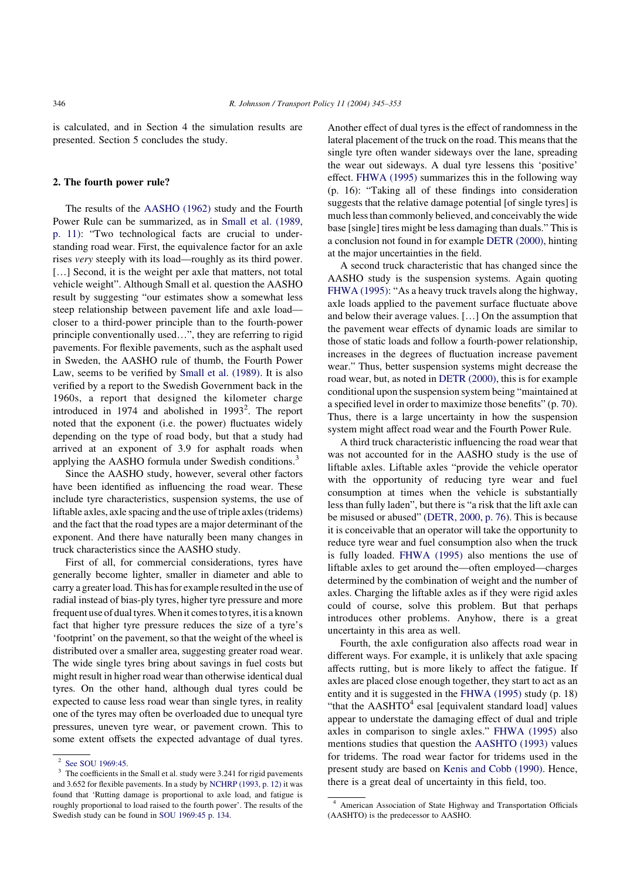is calculated, and in Section 4 the simulation results are presented. Section 5 concludes the study.

# 2. The fourth power rule?

The results of the [AASHO \(1962\)](#page-8-0) study and the Fourth Power Rule can be summarized, as in [Small et al. \(1989,](#page-8-0) [p. 11\)](#page-8-0): "Two technological facts are crucial to understanding road wear. First, the equivalence factor for an axle rises very steeply with its load—roughly as its third power. [...] Second, it is the weight per axle that matters, not total vehicle weight". Although Small et al. question the AASHO result by suggesting "our estimates show a somewhat less steep relationship between pavement life and axle load closer to a third-power principle than to the fourth-power principle conventionally used…", they are referring to rigid pavements. For flexible pavements, such as the asphalt used in Sweden, the AASHO rule of thumb, the Fourth Power Law, seems to be verified by [Small et al. \(1989\).](#page-8-0) It is also verified by a report to the Swedish Government back in the 1960s, a report that designed the kilometer charge introduced in 1974 and abolished in  $1993^2$ . The report noted that the exponent (i.e. the power) fluctuates widely depending on the type of road body, but that a study had arrived at an exponent of 3.9 for asphalt roads when applying the AASHO formula under Swedish conditions.<sup>3</sup>

Since the AASHO study, however, several other factors have been identified as influencing the road wear. These include tyre characteristics, suspension systems, the use of liftable axles, axle spacing and the use of triple axles (tridems) and the fact that the road types are a major determinant of the exponent. And there have naturally been many changes in truck characteristics since the AASHO study.

First of all, for commercial considerations, tyres have generally become lighter, smaller in diameter and able to carry a greater load. This has for example resulted in the use of radial instead of bias-ply tyres, higher tyre pressure and more frequent use of dual tyres. When it comes to tyres, it is a known fact that higher tyre pressure reduces the size of a tyre's 'footprint' on the pavement, so that the weight of the wheel is distributed over a smaller area, suggesting greater road wear. The wide single tyres bring about savings in fuel costs but might result in higher road wear than otherwise identical dual tyres. On the other hand, although dual tyres could be expected to cause less road wear than single tyres, in reality one of the tyres may often be overloaded due to unequal tyre pressures, uneven tyre wear, or pavement crown. This to some extent offsets the expected advantage of dual tyres.

Another effect of dual tyres is the effect of randomness in the lateral placement of the truck on the road. This means that the single tyre often wander sideways over the lane, spreading the wear out sideways. A dual tyre lessens this 'positive' effect. [FHWA \(1995\)](#page-8-0) summarizes this in the following way (p. 16): "Taking all of these findings into consideration suggests that the relative damage potential [of single tyres] is much less than commonly believed, and conceivably the wide base [single] tires might be less damaging than duals." This is a conclusion not found in for example [DETR \(2000\),](#page-8-0) hinting at the major uncertainties in the field.

A second truck characteristic that has changed since the AASHO study is the suspension systems. Again quoting [FHWA \(1995\):](#page-8-0) "As a heavy truck travels along the highway, axle loads applied to the pavement surface fluctuate above and below their average values. […] On the assumption that the pavement wear effects of dynamic loads are similar to those of static loads and follow a fourth-power relationship, increases in the degrees of fluctuation increase pavement wear." Thus, better suspension systems might decrease the road wear, but, as noted in [DETR \(2000\),](#page-8-0) this is for example conditional upon the suspension system being "maintained at a specified level in order to maximize those benefits" (p. 70). Thus, there is a large uncertainty in how the suspension system might affect road wear and the Fourth Power Rule.

A third truck characteristic influencing the road wear that was not accounted for in the AASHO study is the use of liftable axles. Liftable axles "provide the vehicle operator with the opportunity of reducing tyre wear and fuel consumption at times when the vehicle is substantially less than fully laden", but there is "a risk that the lift axle can be misused or abused" ([DETR, 2000, p. 76](#page-8-0)). This is because it is conceivable that an operator will take the opportunity to reduce tyre wear and fuel consumption also when the truck is fully loaded. [FHWA \(1995\)](#page-8-0) also mentions the use of liftable axles to get around the—often employed—charges determined by the combination of weight and the number of axles. Charging the liftable axles as if they were rigid axles could of course, solve this problem. But that perhaps introduces other problems. Anyhow, there is a great uncertainty in this area as well.

Fourth, the axle configuration also affects road wear in different ways. For example, it is unlikely that axle spacing affects rutting, but is more likely to affect the fatigue. If axles are placed close enough together, they start to act as an entity and it is suggested in the [FHWA \(1995\)](#page-8-0) study (p. 18) "that the  $AASHTO<sup>4</sup>$  esal [equivalent standard load] values appear to understate the damaging effect of dual and triple axles in comparison to single axles." [FHWA \(1995\)](#page-8-0) also mentions studies that question the [AASHTO \(1993\)](#page-8-0) values for tridems. The road wear factor for tridems used in the present study are based on [Kenis and Cobb \(1990\)](#page-8-0). Hence, there is a great deal of uncertainty in this field, too.

<sup>&</sup>lt;sup>2</sup> [See SOU 1969:45.](#page-8-0)

<sup>&</sup>lt;sup>3</sup> The coefficients in the Small et al. study were 3.241 for rigid pavements and 3.652 for flexible pavements. In a study by [NCHRP \(1993, p. 12\)](#page-8-0) it was found that 'Rutting damage is proportional to axle load, and fatigue is roughly proportional to load raised to the fourth power'. The results of the Swedish study can be found in [SOU 1969:45 p. 134](#page-8-0).

<sup>4</sup> American Association of State Highway and Transportation Officials (AASHTO) is the predecessor to AASHO.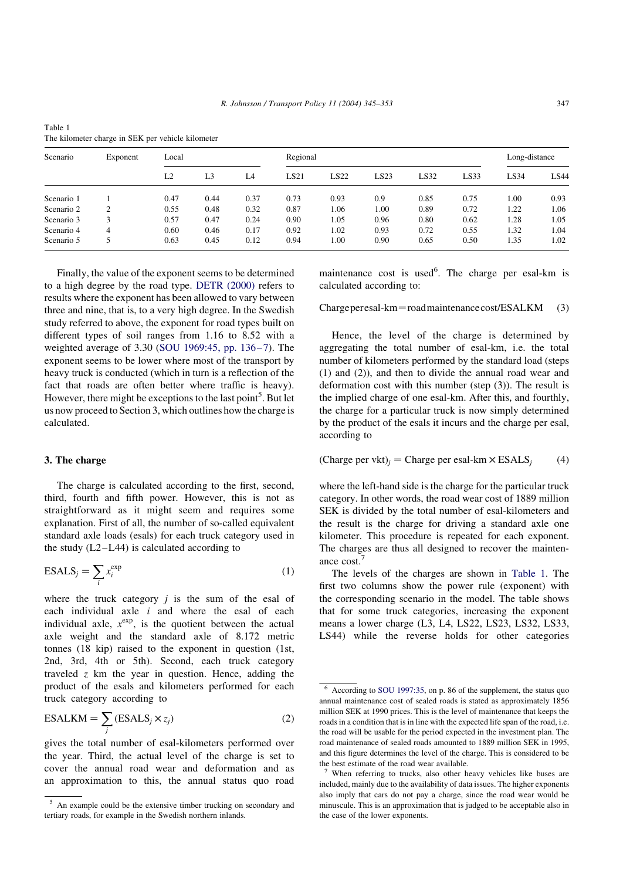| Scenario<br>Exponent |                | Local |      |      | Regional | Long-distance |      |      |      |      |      |
|----------------------|----------------|-------|------|------|----------|---------------|------|------|------|------|------|
|                      | L2             | L3    | L4   | LS21 | LS22     | LS23          | LS32 | LS33 | LS34 | LS44 |      |
| Scenario 1           |                | 0.47  | 0.44 | 0.37 | 0.73     | 0.93          | 0.9  | 0.85 | 0.75 | 1.00 | 0.93 |
| Scenario 2           | $\overline{c}$ | 0.55  | 0.48 | 0.32 | 0.87     | 1.06          | 1.00 | 0.89 | 0.72 | 1.22 | 1.06 |
| Scenario 3           | 3              | 0.57  | 0.47 | 0.24 | 0.90     | 1.05          | 0.96 | 0.80 | 0.62 | 1.28 | 1.05 |
| Scenario 4           | 4              | 0.60  | 0.46 | 0.17 | 0.92     | 1.02          | 0.93 | 0.72 | 0.55 | 1.32 | 1.04 |
| Scenario 5           |                | 0.63  | 0.45 | 0.12 | 0.94     | 1.00          | 0.90 | 0.65 | 0.50 | 1.35 | 1.02 |

Table 1 The kilometer charge in SEK per vehicle kilometer

Finally, the value of the exponent seems to be determined to a high degree by the road type. [DETR \(2000\)](#page-8-0) refers to results where the exponent has been allowed to vary between three and nine, that is, to a very high degree. In the Swedish study referred to above, the exponent for road types built on different types of soil ranges from 1.16 to 8.52 with a weighted average of 3.30 ([SOU 1969:45, pp. 136–7\)](#page-8-0). The exponent seems to be lower where most of the transport by heavy truck is conducted (which in turn is a reflection of the fact that roads are often better where traffic is heavy). However, there might be exceptions to the last point<sup>5</sup>. But let us now proceed to Section 3, which outlines how the charge is calculated.

# 3. The charge

The charge is calculated according to the first, second, third, fourth and fifth power. However, this is not as straightforward as it might seem and requires some explanation. First of all, the number of so-called equivalent standard axle loads (esals) for each truck category used in the study  $(L2-L44)$  is calculated according to

$$
ESALS_j = \sum_i x_i^{\exp} \tag{1}
$$

where the truck category  $j$  is the sum of the esal of each individual axle  $\vec{i}$  and where the esal of each individual axle,  $x^{\exp}$ , is the quotient between the actual axle weight and the standard axle of 8.172 metric tonnes (18 kip) raised to the exponent in question (1st, 2nd, 3rd, 4th or 5th). Second, each truck category traveled  $z$  km the year in question. Hence, adding the product of the esals and kilometers performed for each truck category according to

$$
ESALKM = \sum_{j} (ESALS_j \times z_j)
$$
 (2)

gives the total number of esal-kilometers performed over the year. Third, the actual level of the charge is set to cover the annual road wear and deformation and as an approximation to this, the annual status quo road

maintenance cost is used<sup>6</sup>. The charge per esal-km is calculated according to:

 $Chargeperesal-km=roadmaintenancecost/ESALKM (3)$ 

Hence, the level of the charge is determined by aggregating the total number of esal-km, i.e. the total number of kilometers performed by the standard load (steps (1) and (2)), and then to divide the annual road wear and deformation cost with this number (step (3)). The result is the implied charge of one esal-km. After this, and fourthly, the charge for a particular truck is now simply determined by the product of the esals it incurs and the charge per esal, according to

# (Charge per vkt)<sub>i</sub> = Charge per esal-km  $\times$  ESALS<sub>i</sub> (4)

where the left-hand side is the charge for the particular truck category. In other words, the road wear cost of 1889 million SEK is divided by the total number of esal-kilometers and the result is the charge for driving a standard axle one kilometer. This procedure is repeated for each exponent. The charges are thus all designed to recover the maintenance cost.<sup>7</sup>

The levels of the charges are shown in Table 1. The first two columns show the power rule (exponent) with the corresponding scenario in the model. The table shows that for some truck categories, increasing the exponent means a lower charge (L3, L4, LS22, LS23, LS32, LS33, LS44) while the reverse holds for other categories

<sup>5</sup> An example could be the extensive timber trucking on secondary and tertiary roads, for example in the Swedish northern inlands.

<sup>6</sup> According to [SOU 1997:35,](#page-8-0) on p. 86 of the supplement, the status quo annual maintenance cost of sealed roads is stated as approximately 1856 million SEK at 1990 prices. This is the level of maintenance that keeps the roads in a condition that is in line with the expected life span of the road, i.e. the road will be usable for the period expected in the investment plan. The road maintenance of sealed roads amounted to 1889 million SEK in 1995, and this figure determines the level of the charge. This is considered to be the best estimate of the road wear available.

When referring to trucks, also other heavy vehicles like buses are included, mainly due to the availability of data issues. The higher exponents also imply that cars do not pay a charge, since the road wear would be minuscule. This is an approximation that is judged to be acceptable also in the case of the lower exponents.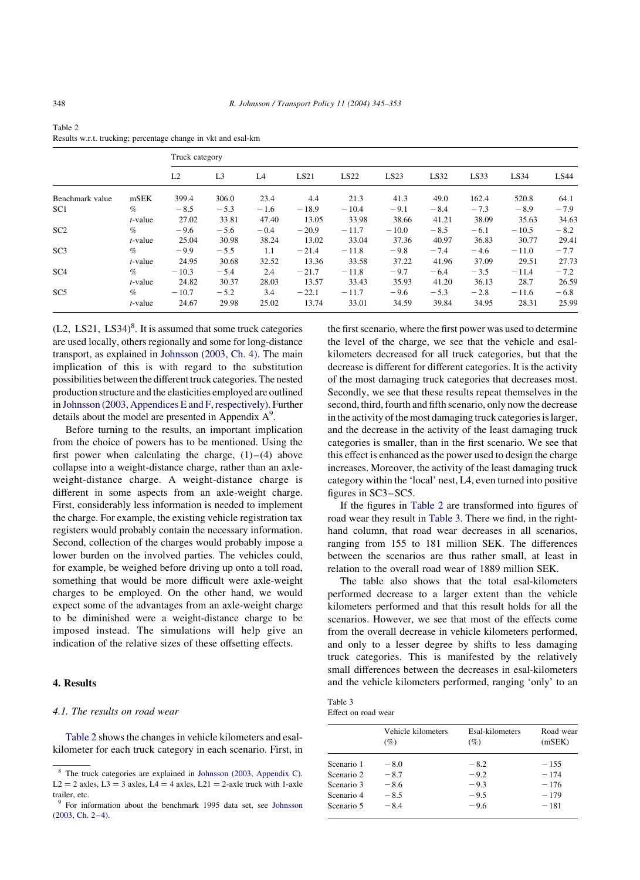|                 |            |         | Truck category |        |         |         |         |        |        |         |        |
|-----------------|------------|---------|----------------|--------|---------|---------|---------|--------|--------|---------|--------|
|                 |            | L2      | L <sub>3</sub> | L4     | LS21    | LS22    | LS23    | LS32   | LS33   | LS34    | LS44   |
| Benchmark value | mSEK       | 399.4   | 306.0          | 23.4   | 4.4     | 21.3    | 41.3    | 49.0   | 162.4  | 520.8   | 64.1   |
| SC <sub>1</sub> | $\%$       | $-8.5$  | $-5.3$         | $-1.6$ | $-18.9$ | $-10.4$ | $-9.1$  | $-8.4$ | $-7.3$ | $-8.9$  | $-7.9$ |
|                 | $t$ -value | 27.02   | 33.81          | 47.40  | 13.05   | 33.98   | 38.66   | 41.21  | 38.09  | 35.63   | 34.63  |
| SC2             | $\%$       | $-9.6$  | $-5.6$         | $-0.4$ | $-20.9$ | $-11.7$ | $-10.0$ | $-8.5$ | $-6.1$ | $-10.5$ | $-8.2$ |
|                 | $t$ -value | 25.04   | 30.98          | 38.24  | 13.02   | 33.04   | 37.36   | 40.97  | 36.83  | 30.77   | 29.41  |
| SC <sub>3</sub> | $\%$       | $-9.9$  | $-5.5$         | 1.1    | $-21.4$ | $-11.8$ | $-9.8$  | $-7.4$ | $-4.6$ | $-11.0$ | $-7.7$ |
|                 | $t$ -value | 24.95   | 30.68          | 32.52  | 13.36   | 33.58   | 37.22   | 41.96  | 37.09  | 29.51   | 27.73  |
| SC <sub>4</sub> | $\%$       | $-10.3$ | $-5.4$         | 2.4    | $-21.7$ | $-11.8$ | $-9.7$  | $-6.4$ | $-3.5$ | $-11.4$ | $-7.2$ |
|                 | $t$ -value | 24.82   | 30.37          | 28.03  | 13.57   | 33.43   | 35.93   | 41.20  | 36.13  | 28.7    | 26.59  |
| SC <sub>5</sub> | $\%$       | $-10.7$ | $-5.2$         | 3.4    | $-22.1$ | $-11.7$ | $-9.6$  | $-5.3$ | $-2.8$ | $-11.6$ | $-6.8$ |
|                 | $t$ -value | 24.67   | 29.98          | 25.02  | 13.74   | 33.01   | 34.59   | 39.84  | 34.95  | 28.31   | 25.99  |

<span id="page-3-0"></span>Table 2 Results w.r.t. trucking; percentage change in vkt and esal-km

 $(L2, LS21, LS34)<sup>8</sup>$ . It is assumed that some truck categories are used locally, others regionally and some for long-distance transport, as explained in [Johnsson \(2003, Ch. 4\)](#page-8-0). The main implication of this is with regard to the substitution possibilities between the different truck categories. The nested production structure and the elasticities employed are outlined in [Johnsson \(2003, Appendices E and F, respectively\).](#page-8-0) Further details about the model are presented in Appendix  $A^9$ .

Before turning to the results, an important implication from the choice of powers has to be mentioned. Using the first power when calculating the charge,  $(1)$ – $(4)$  above collapse into a weight-distance charge, rather than an axleweight-distance charge. A weight-distance charge is different in some aspects from an axle-weight charge. First, considerably less information is needed to implement the charge. For example, the existing vehicle registration tax registers would probably contain the necessary information. Second, collection of the charges would probably impose a lower burden on the involved parties. The vehicles could, for example, be weighed before driving up onto a toll road, something that would be more difficult were axle-weight charges to be employed. On the other hand, we would expect some of the advantages from an axle-weight charge to be diminished were a weight-distance charge to be imposed instead. The simulations will help give an indication of the relative sizes of these offsetting effects.

# 4. Results

#### 4.1. The results on road wear

Table 2 shows the changes in vehicle kilometers and esalkilometer for each truck category in each scenario. First, in the first scenario, where the first power was used to determine the level of the charge, we see that the vehicle and esalkilometers decreased for all truck categories, but that the decrease is different for different categories. It is the activity of the most damaging truck categories that decreases most. Secondly, we see that these results repeat themselves in the second, third, fourth and fifth scenario, only now the decrease in the activity of the most damaging truck categories is larger, and the decrease in the activity of the least damaging truck categories is smaller, than in the first scenario. We see that this effect is enhanced as the power used to design the charge increases. Moreover, the activity of the least damaging truck category within the 'local' nest, L4, even turned into positive figures in SC3–SC5.

If the figures in Table 2 are transformed into figures of road wear they result in Table 3. There we find, in the righthand column, that road wear decreases in all scenarios, ranging from 155 to 181 million SEK. The differences between the scenarios are thus rather small, at least in relation to the overall road wear of 1889 million SEK.

The table also shows that the total esal-kilometers performed decrease to a larger extent than the vehicle kilometers performed and that this result holds for all the scenarios. However, we see that most of the effects come from the overall decrease in vehicle kilometers performed, and only to a lesser degree by shifts to less damaging truck categories. This is manifested by the relatively small differences between the decreases in esal-kilometers and the vehicle kilometers performed, ranging 'only' to an

| Table 3             |  |
|---------------------|--|
| Effect on road wear |  |

|            | Vehicle kilometers<br>(%) | Esal-kilometers<br>(%) | Road wear<br>(mSEK) |
|------------|---------------------------|------------------------|---------------------|
| Scenario 1 | $-8.0$                    | $-8.2$                 | $-1.55$             |
| Scenario 2 | $-8.7$                    | $-9.2$                 | $-174$              |
| Scenario 3 | $-8.6$                    | $-9.3$                 | $-176$              |
| Scenario 4 | $-8.5$                    | $-9.5$                 | $-179$              |
| Scenario 5 | $-8.4$                    | $-96$                  | $-181$              |

<sup>8</sup> The truck categories are explained in [Johnsson \(2003, Appendix C\).](#page-8-0)  $L2 = 2$  axles,  $L3 = 3$  axles,  $L4 = 4$  axles,  $L21 = 2$ -axle truck with 1-axle trailer, etc.

<sup>9</sup> For information about the benchmark 1995 data set, see [Johnsson](#page-8-0) [\(2003, Ch. 2–4\)](#page-8-0).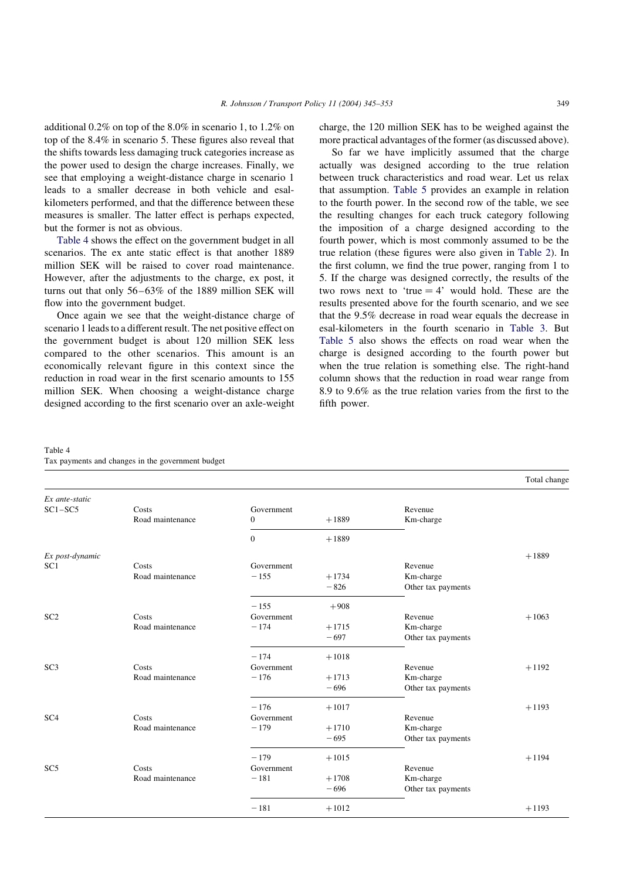additional 0.2% on top of the 8.0% in scenario 1, to 1.2% on top of the 8.4% in scenario 5. These figures also reveal that the shifts towards less damaging truck categories increase as the power used to design the charge increases. Finally, we see that employing a weight-distance charge in scenario 1 leads to a smaller decrease in both vehicle and esalkilometers performed, and that the difference between these measures is smaller. The latter effect is perhaps expected, but the former is not as obvious.

Table 4 shows the effect on the government budget in all scenarios. The ex ante static effect is that another 1889 million SEK will be raised to cover road maintenance. However, after the adjustments to the charge, ex post, it turns out that only 56–63% of the 1889 million SEK will flow into the government budget.

Once again we see that the weight-distance charge of scenario 1 leads to a different result. The net positive effect on the government budget is about 120 million SEK less compared to the other scenarios. This amount is an economically relevant figure in this context since the reduction in road wear in the first scenario amounts to 155 million SEK. When choosing a weight-distance charge designed according to the first scenario over an axle-weight

charge, the 120 million SEK has to be weighed against the more practical advantages of the former (as discussed above).

So far we have implicitly assumed that the charge actually was designed according to the true relation between truck characteristics and road wear. Let us relax that assumption. [Table 5](#page-5-0) provides an example in relation to the fourth power. In the second row of the table, we see the resulting changes for each truck category following the imposition of a charge designed according to the fourth power, which is most commonly assumed to be the true relation (these figures were also given in [Table 2](#page-3-0)). In the first column, we find the true power, ranging from 1 to 5. If the charge was designed correctly, the results of the two rows next to 'true  $= 4$ ' would hold. These are the results presented above for the fourth scenario, and we see that the 9.5% decrease in road wear equals the decrease in esal-kilometers in the fourth scenario in [Table 3.](#page-3-0) But [Table 5](#page-5-0) also shows the effects on road wear when the charge is designed according to the fourth power but when the true relation is something else. The right-hand column shows that the reduction in road wear range from 8.9 to 9.6% as the true relation varies from the first to the fifth power.

| Table 4                                           |  |  |  |
|---------------------------------------------------|--|--|--|
| Tax payments and changes in the government budget |  |  |  |

|                  |                  |              |         |                    | Total change |
|------------------|------------------|--------------|---------|--------------------|--------------|
| $Ex$ ante-static |                  |              |         |                    |              |
| $SC1 - SC5$      | Costs            | Government   |         | Revenue            |              |
|                  | Road maintenance | $\mathbf{0}$ | $+1889$ | Km-charge          |              |
|                  |                  | $\mathbf{0}$ | $+1889$ |                    |              |
| Ex post-dynamic  |                  |              |         |                    | $+1889$      |
| SC <sub>1</sub>  | Costs            | Government   |         | Revenue            |              |
|                  | Road maintenance | $-155$       | $+1734$ | Km-charge          |              |
|                  |                  |              | $-826$  | Other tax payments |              |
|                  |                  | $-155$       | $+908$  |                    |              |
| SC2              | Costs            | Government   |         | Revenue            | $+1063$      |
|                  | Road maintenance | $-174$       | $+1715$ | Km-charge          |              |
|                  |                  |              | $-697$  | Other tax payments |              |
|                  |                  | $-174$       | $+1018$ |                    |              |
| SC3              | Costs            | Government   |         | Revenue            | $+1192$      |
|                  | Road maintenance | $-176$       | $+1713$ | Km-charge          |              |
|                  |                  |              | $-696$  | Other tax payments |              |
|                  |                  | $-176$       | $+1017$ |                    | $+1193$      |
| SC <sub>4</sub>  | Costs            | Government   |         | Revenue            |              |
|                  | Road maintenance | $-179$       | $+1710$ | Km-charge          |              |
|                  |                  |              | $-695$  | Other tax payments |              |
|                  |                  | $-179$       | $+1015$ |                    | $+1194$      |
| SC <sub>5</sub>  | Costs            | Government   |         | Revenue            |              |
|                  | Road maintenance | $-181$       | $+1708$ | Km-charge          |              |
|                  |                  |              | $-696$  | Other tax payments |              |
|                  |                  | $-181$       | $+1012$ |                    | $+1193$      |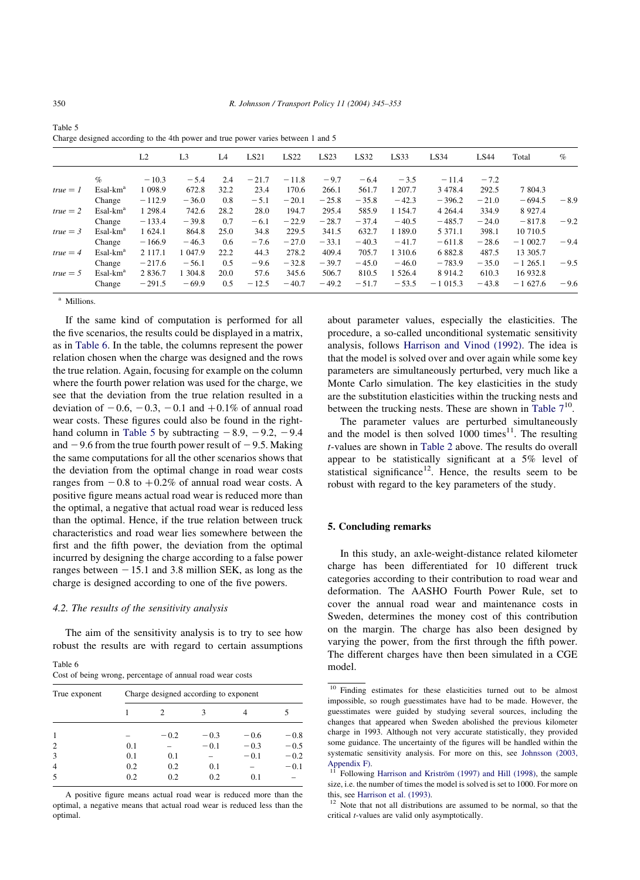|            |                      | L <sub>2</sub> | L <sub>3</sub> | L4   | LS21    | LS22    | LS23    | LS32    | LS33        | LS34       | LS44    | Total     | $\%$   |
|------------|----------------------|----------------|----------------|------|---------|---------|---------|---------|-------------|------------|---------|-----------|--------|
|            | $\%$                 | $-10.3$        | $-5.4$         | 2.4  | $-21.7$ | $-11.8$ | $-9.7$  | $-6.4$  | $-3.5$      | $-11.4$    | $-7.2$  |           |        |
| $true = 1$ | $Esal-kma$           | 1 0 98.9       | 672.8          | 32.2 | 23.4    | 170.6   | 266.1   | 561.7   | 1 207.7     | 3 4 7 8 .4 | 292.5   | 7 804.3   |        |
|            | Change               | $-112.9$       | $-36.0$        | 0.8  | $-5.1$  | $-20.1$ | $-25.8$ | $-35.8$ | $-42.3$     | $-396.2$   | $-21.0$ | $-694.5$  | $-8.9$ |
| $true = 2$ | $Esal-kma$           | 1 298.4        | 742.6          | 28.2 | 28.0    | 194.7   | 295.4   | 585.9   | 1 1 5 4 .7  | 4 2 6 4 .4 | 334.9   | 8 9 27.4  |        |
|            | Change               | $-133.4$       | $-39.8$        | 0.7  | $-6.1$  | $-22.9$ | $-28.7$ | $-37.4$ | $-40.5$     | $-485.7$   | $-24.0$ | $-817.8$  | $-9.2$ |
| $true = 3$ | $Esal-kma$           | 1 624.1        | 864.8          | 25.0 | 34.8    | 229.5   | 341.5   | 632.7   | 1 1 8 9 . 0 | 5 3 7 1 .1 | 398.1   | 10 710.5  |        |
|            | Change               | $-166.9$       | $-46.3$        | 0.6  | $-7.6$  | $-27.0$ | $-33.1$ | $-40.3$ | $-41.7$     | $-611.8$   | $-28.6$ | $-1002.7$ | $-9.4$ |
| $true = 4$ | $Esal-kma$           | 2 117.1        | 047.9          | 22.2 | 44.3    | 278.2   | 409.4   | 705.7   | 1 310.6     | 6 8 8 2.8  | 487.5   | 13 305.7  |        |
|            | Change               | $-217.6$       | $-56.1$        | 0.5  | $-9.6$  | $-32.8$ | $-39.7$ | $-45.0$ | $-46.0$     | $-783.9$   | $-35.0$ | $-1265.1$ | $-9.5$ |
| $true = 5$ | Esal-km <sup>a</sup> | 2 8 3 6.7      | 1 304.8        | 20.0 | 57.6    | 345.6   | 506.7   | 810.5   | 1 5 2 6.4   | 8 9 1 4.2  | 610.3   | 16 932.8  |        |
|            | Change               | $-291.5$       | $-69.9$        | 0.5  | $-12.5$ | $-40.7$ | $-49.2$ | $-51.7$ | $-53.5$     | $-1015.3$  | $-43.8$ | $-1627.6$ | $-9.6$ |

<span id="page-5-0"></span>

| Table 5                                                                          |  |
|----------------------------------------------------------------------------------|--|
| Charge designed according to the 4th power and true power varies between 1 and 5 |  |

<sup>a</sup> Millions.

If the same kind of computation is performed for all the five scenarios, the results could be displayed in a matrix, as in Table 6. In the table, the columns represent the power relation chosen when the charge was designed and the rows the true relation. Again, focusing for example on the column where the fourth power relation was used for the charge, we see that the deviation from the true relation resulted in a deviation of  $-0.6, -0.3, -0.1$  and  $+0.1\%$  of annual road wear costs. These figures could also be found in the righthand column in Table 5 by subtracting  $-8.9, -9.2, -9.4$ and  $-9.6$  from the true fourth power result of  $-9.5$ . Making the same computations for all the other scenarios shows that the deviation from the optimal change in road wear costs ranges from  $-0.8$  to  $+0.2\%$  of annual road wear costs. A positive figure means actual road wear is reduced more than the optimal, a negative that actual road wear is reduced less than the optimal. Hence, if the true relation between truck characteristics and road wear lies somewhere between the first and the fifth power, the deviation from the optimal incurred by designing the charge according to a false power ranges between  $-15.1$  and 3.8 million SEK, as long as the charge is designed according to one of the five powers.

#### 4.2. The results of the sensitivity analysis

The aim of the sensitivity analysis is to try to see how robust the results are with regard to certain assumptions

| Table 6                                                   |  |  |  |  |
|-----------------------------------------------------------|--|--|--|--|
| Cost of being wrong, percentage of annual road wear costs |  |  |  |  |

| True exponent  | Charge designed according to exponent |        |        |        |        |  |  |  |
|----------------|---------------------------------------|--------|--------|--------|--------|--|--|--|
|                |                                       | 2      |        |        |        |  |  |  |
|                |                                       | $-0.2$ | $-0.3$ | $-0.6$ | $-0.8$ |  |  |  |
| $\overline{2}$ | 0.1                                   |        | $-0.1$ | $-0.3$ | $-0.5$ |  |  |  |
| 3              | 0.1                                   | 0.1    |        | $-0.1$ | $-0.2$ |  |  |  |
| 4              | 0.2                                   | 0.2    | 0.1    |        | $-0.1$ |  |  |  |
| 5              | 0.2                                   | 0.2    | 0.2    | 0.1    |        |  |  |  |

A positive figure means actual road wear is reduced more than the optimal, a negative means that actual road wear is reduced less than the optimal.

about parameter values, especially the elasticities. The procedure, a so-called unconditional systematic sensitivity analysis, follows [Harrison and Vinod \(1992\)](#page-8-0). The idea is that the model is solved over and over again while some key parameters are simultaneously perturbed, very much like a Monte Carlo simulation. The key elasticities in the study are the substitution elasticities within the trucking nests and between the trucking nests. These are shown in Table  $7^{10}$ .

The parameter values are perturbed simultaneously and the model is then solved  $1000$  times<sup>11</sup>. The resulting t-values are shown in [Table 2](#page-3-0) above. The results do overall appear to be statistically significant at a 5% level of statistical significance<sup>12</sup>. Hence, the results seem to be robust with regard to the key parameters of the study.

#### 5. Concluding remarks

In this study, an axle-weight-distance related kilometer charge has been differentiated for 10 different truck categories according to their contribution to road wear and deformation. The AASHO Fourth Power Rule, set to cover the annual road wear and maintenance costs in Sweden, determines the money cost of this contribution on the margin. The charge has also been designed by varying the power, from the first through the fifth power. The different charges have then been simulated in a CGE model.

<sup>&</sup>lt;sup>10</sup> Finding estimates for these elasticities turned out to be almost impossible, so rough guesstimates have had to be made. However, the guesstimates were guided by studying several sources, including the changes that appeared when Sweden abolished the previous kilometer charge in 1993. Although not very accurate statistically, they provided some guidance. The uncertainty of the figures will be handled within the systematic sensitivity analysis. For more on this, see [Johnsson \(2003,](#page-8-0) [Appendix F\)](#page-8-0).

<sup>&</sup>lt;sup>11</sup> Following Harrison and Kriström (1997) and Hill (1998), the sample size, i.e. the number of times the model is solved is set to 1000. For more on this, see [Harrison et al. \(1993\).](#page-8-0)  $12$  Note that not all distributions are assumed to be normal, so that the

critical t-values are valid only asymptotically.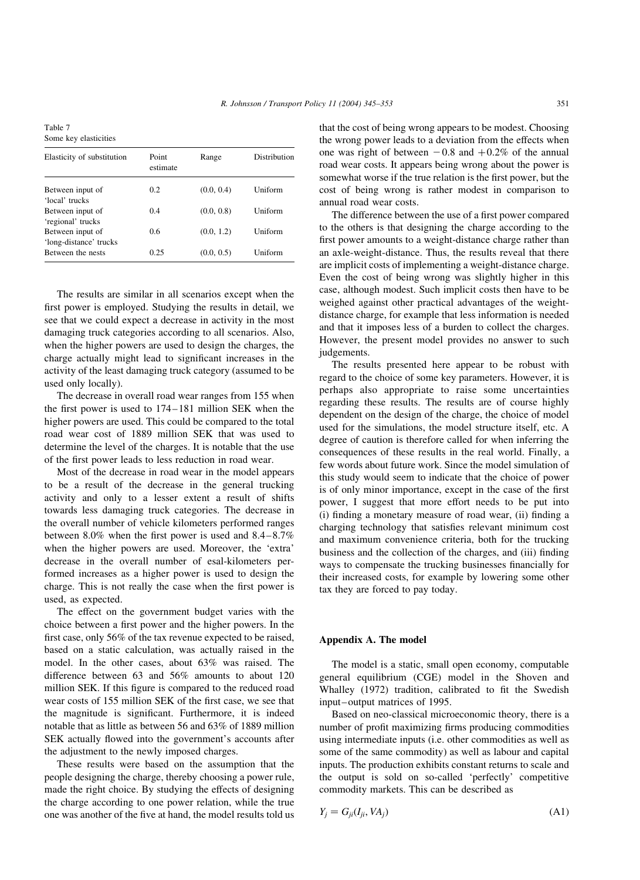<span id="page-6-0"></span>Table 7 Some key elasticities

| Elasticity of substitution                  | Point<br>estimate | Range      | Distribution |
|---------------------------------------------|-------------------|------------|--------------|
| Between input of                            | 0.2               | (0.0, 0.4) | Uniform      |
| 'local' trucks<br>Between input of          | 0.4               | (0.0, 0.8) | Uniform      |
| 'regional' trucks                           |                   |            |              |
| Between input of                            | 0.6               | (0.0, 1.2) | Uniform      |
| 'long-distance' trucks<br>Between the nests | 0.25              | (0.0, 0.5) | Uniform      |
|                                             |                   |            |              |

The results are similar in all scenarios except when the first power is employed. Studying the results in detail, we see that we could expect a decrease in activity in the most damaging truck categories according to all scenarios. Also, when the higher powers are used to design the charges, the charge actually might lead to significant increases in the activity of the least damaging truck category (assumed to be used only locally).

The decrease in overall road wear ranges from 155 when the first power is used to 174–181 million SEK when the higher powers are used. This could be compared to the total road wear cost of 1889 million SEK that was used to determine the level of the charges. It is notable that the use of the first power leads to less reduction in road wear.

Most of the decrease in road wear in the model appears to be a result of the decrease in the general trucking activity and only to a lesser extent a result of shifts towards less damaging truck categories. The decrease in the overall number of vehicle kilometers performed ranges between 8.0% when the first power is used and 8.4–8.7% when the higher powers are used. Moreover, the 'extra' decrease in the overall number of esal-kilometers performed increases as a higher power is used to design the charge. This is not really the case when the first power is used, as expected.

The effect on the government budget varies with the choice between a first power and the higher powers. In the first case, only 56% of the tax revenue expected to be raised, based on a static calculation, was actually raised in the model. In the other cases, about 63% was raised. The difference between 63 and 56% amounts to about 120 million SEK. If this figure is compared to the reduced road wear costs of 155 million SEK of the first case, we see that the magnitude is significant. Furthermore, it is indeed notable that as little as between 56 and 63% of 1889 million SEK actually flowed into the government's accounts after the adjustment to the newly imposed charges.

These results were based on the assumption that the people designing the charge, thereby choosing a power rule, made the right choice. By studying the effects of designing the charge according to one power relation, while the true one was another of the five at hand, the model results told us that the cost of being wrong appears to be modest. Choosing the wrong power leads to a deviation from the effects when one was right of between  $-0.8$  and  $+0.2\%$  of the annual road wear costs. It appears being wrong about the power is somewhat worse if the true relation is the first power, but the cost of being wrong is rather modest in comparison to annual road wear costs.

The difference between the use of a first power compared to the others is that designing the charge according to the first power amounts to a weight-distance charge rather than an axle-weight-distance. Thus, the results reveal that there are implicit costs of implementing a weight-distance charge. Even the cost of being wrong was slightly higher in this case, although modest. Such implicit costs then have to be weighed against other practical advantages of the weightdistance charge, for example that less information is needed and that it imposes less of a burden to collect the charges. However, the present model provides no answer to such judgements.

The results presented here appear to be robust with regard to the choice of some key parameters. However, it is perhaps also appropriate to raise some uncertainties regarding these results. The results are of course highly dependent on the design of the charge, the choice of model used for the simulations, the model structure itself, etc. A degree of caution is therefore called for when inferring the consequences of these results in the real world. Finally, a few words about future work. Since the model simulation of this study would seem to indicate that the choice of power is of only minor importance, except in the case of the first power, I suggest that more effort needs to be put into (i) finding a monetary measure of road wear, (ii) finding a charging technology that satisfies relevant minimum cost and maximum convenience criteria, both for the trucking business and the collection of the charges, and (iii) finding ways to compensate the trucking businesses financially for their increased costs, for example by lowering some other tax they are forced to pay today.

#### Appendix A. The model

The model is a static, small open economy, computable general equilibrium (CGE) model in the Shoven and Whalley (1972) tradition, calibrated to fit the Swedish input–output matrices of 1995.

Based on neo-classical microeconomic theory, there is a number of profit maximizing firms producing commodities using intermediate inputs (i.e. other commodities as well as some of the same commodity) as well as labour and capital inputs. The production exhibits constant returns to scale and the output is sold on so-called 'perfectly' competitive commodity markets. This can be described as

$$
Y_j = G_{ji}(I_{ji}, VA_j) \tag{A1}
$$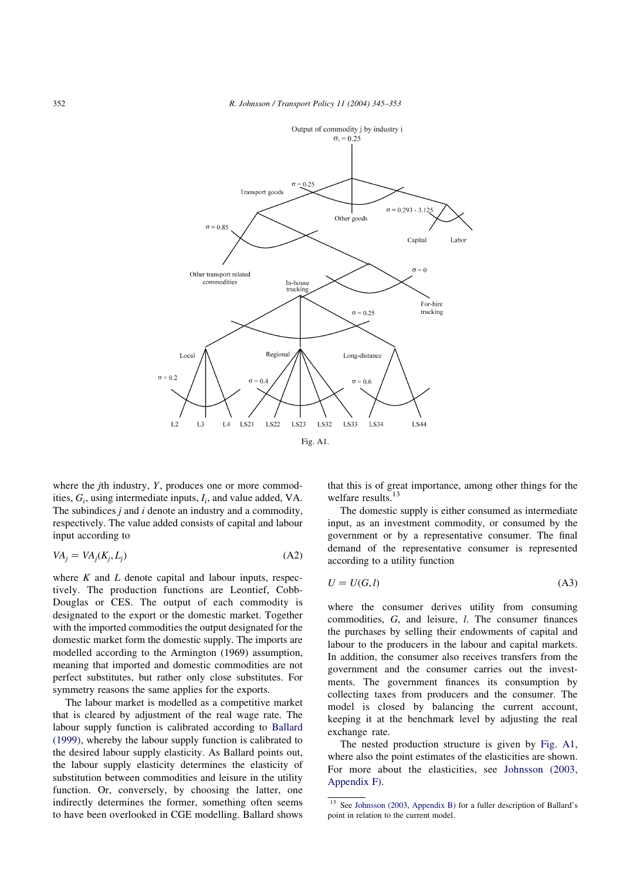

where the  $j$ th industry,  $Y$ , produces one or more commodities,  $G_i$ , using intermediate inputs,  $I_i$ , and value added, VA. The subindices  $j$  and  $i$  denote an industry and a commodity, respectively. The value added consists of capital and labour input according to

$$
VA_j = VA_j(K_j, L_j) \tag{A2}
$$

where  $K$  and  $L$  denote capital and labour inputs, respectively. The production functions are Leontief, Cobb-Douglas or CES. The output of each commodity is designated to the export or the domestic market. Together with the imported commodities the output designated for the domestic market form the domestic supply. The imports are modelled according to the Armington (1969) assumption, meaning that imported and domestic commodities are not perfect substitutes, but rather only close substitutes. For symmetry reasons the same applies for the exports.

The labour market is modelled as a competitive market that is cleared by adjustment of the real wage rate. The labour supply function is calibrated according to [Ballard](#page-8-0) [\(1999\)](#page-8-0), whereby the labour supply function is calibrated to the desired labour supply elasticity. As Ballard points out, the labour supply elasticity determines the elasticity of substitution between commodities and leisure in the utility function. Or, conversely, by choosing the latter, one indirectly determines the former, something often seems to have been overlooked in CGE modelling. Ballard shows

that this is of great importance, among other things for the welfare results.<sup>13</sup>

The domestic supply is either consumed as intermediate input, as an investment commodity, or consumed by the government or by a representative consumer. The final demand of the representative consumer is represented according to a utility function

$$
U = U(G, l) \tag{A3}
$$

where the consumer derives utility from consuming commodities, G; and leisure, l: The consumer finances the purchases by selling their endowments of capital and labour to the producers in the labour and capital markets. In addition, the consumer also receives transfers from the government and the consumer carries out the investments. The government finances its consumption by collecting taxes from producers and the consumer. The model is closed by balancing the current account, keeping it at the benchmark level by adjusting the real exchange rate.

The nested production structure is given by Fig. A1, where also the point estimates of the elasticities are shown. For more about the elasticities, see [Johnsson \(2003,](#page-8-0) [Appendix F\).](#page-8-0)

<sup>&</sup>lt;sup>13</sup> See [Johnsson \(2003, Appendix B\)](#page-8-0) for a fuller description of Ballard's point in relation to the current model.